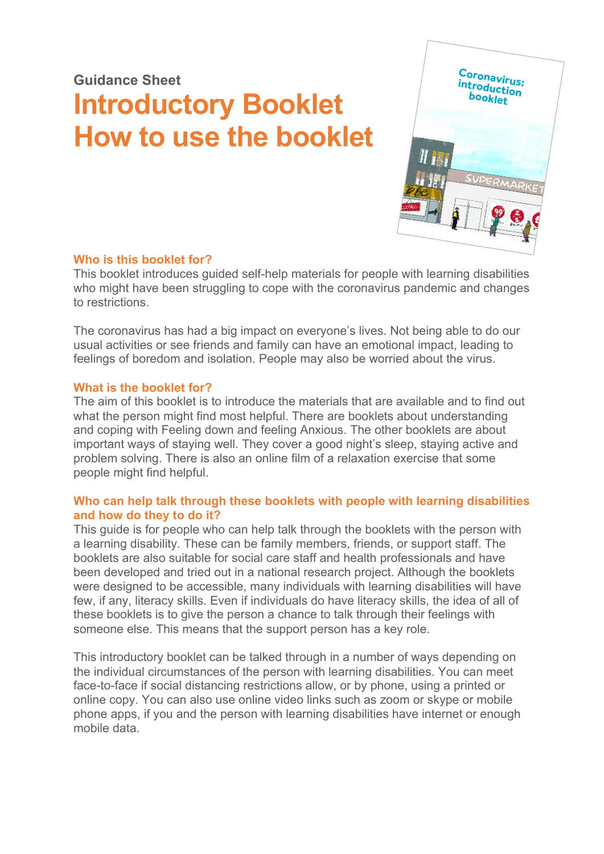# **Guidance Sheet Introductory Booklet How to use the booklet**



# **Who is this booklet for?**

This booklet introduces guided self-help materials for people with learning disabilities who might have been struggling to cope with the coronavirus pandemic and changes to restrictions.

The coronavirus has had a big impact on everyone's lives. Not being able to do our usual activities or see friends and family can have an emotional impact, leading to feelings of boredom and isolation. People may also be worried about the virus.

# **What is the booklet for?**

The aim of this booklet is to introduce the materials that are available and to find out what the person might find most helpful. There are booklets about understanding and coping with Feeling down and feeling Anxious. The other booklets are about important ways of staying well. They cover a good night's sleep, staying active and problem solving. There is also an online film of a relaxation exercise that some people might find helpful.

# **Who can help talk through these booklets with people with learning disabilities and how do they to do it?**

This guide is for people who can help talk through the booklets with the person with a learning disability. These can be family members, friends, or support staff. The booklets are also suitable for social care staff and health professionals and have been developed and tried out in a national research project. Although the booklets were designed to be accessible, many individuals with learning disabilities will have few, if any, literacy skills. Even if individuals do have literacy skills, the idea of all of these booklets is to give the person a chance to talk through their feelings with someone else. This means that the support person has a key role.

This introductory booklet can be talked through in a number of ways depending on the individual circumstances of the person with learning disabilities. You can meet face-to-face if social distancing restrictions allow, or by phone, using a printed or online copy. You can also use online video links such as zoom or skype or mobile phone apps, if you and the person with learning disabilities have internet or enough mobile data.